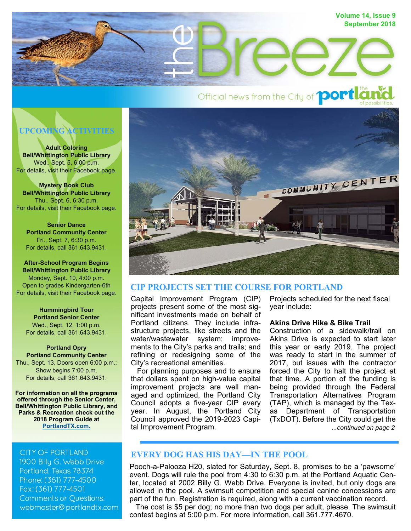

# Official news from the City of **portla**

# **UPCOMING ACTIVITIES**

**Adult Coloring Bell/Whittington Public Library**  Wed., Sept. 5, 6:00 p.m. For details, visit their Facebook page.

**Mystery Book Club Bell/Whittington Public Library**  Thu., Sept. 6, 6:30 p.m. For details, visit their Facebook page.

**Senior Dance Portland Community Center**  Fri., Sept. 7, 6:30 p.m. For details, call 361.643.9431.

**After-School Program Begins Bell/Whittington Public Library**  Monday, Sept. 10, 4:00 p.m. Open to grades Kindergarten-6th For details, visit their Facebook page.

**Hummingbird Tour Portland Senior Center**  Wed., Sept. 12, 1:00 p.m. For details, call 361.643.9431.

#### **Portland Opry Portland Community Center**  Thu., Sept. 13, Doors open 6:00 p.m.; Show begins 7:00 p.m. For details, call 361.643.9431.

**For information on all the programs offered through the Senior Center, Bell/Whittington Public Library, and Parks & Recreation check out the 2018 Program Guide at PortlandTX.com.**

# **CITY OF PORTLAND**

1900 Billy G. Webb Drive Portland, Texas 78374 Phone: (361) 777-4500 Fax: (361) 777-4501 **Comments or Questions:** webmaster@portlandtx.com



# **CIP PROJECTS SET THE COURSE FOR PORTLAND**

Capital Improvement Program (CIP) projects present some of the most significant investments made on behalf of Portland citizens. They include infrastructure projects, like streets and the water/wastewater system; improvements to the City's parks and trails; and refining or redesigning some of the City's recreational amenities.

 For planning purposes and to ensure that dollars spent on high-value capital improvement projects are well managed and optimized, the Portland City Council adopts a five-year CIP every year. In August, the Portland City Council approved the 2019-2023 Capital Improvement Program.

Projects scheduled for the next fiscal year include:

#### **Akins Drive Hike & Bike Trail**

*...continued on page 2* Construction of a sidewalk/trail on Akins Drive is expected to start later this year or early 2019. The project was ready to start in the summer of 2017, but issues with the contractor forced the City to halt the project at that time. A portion of the funding is being provided through the Federal Transportation Alternatives Program (TAP), which is managed by the Texas Department of Transportation (TxDOT). Before the City could get the

# **EVERY DOG HAS HIS DAY—IN THE POOL**

Pooch-a-Palooza H20, slated for Saturday, Sept. 8, promises to be a 'pawsome' event. Dogs will rule the pool from 4:30 to 6:30 p.m. at the Portland Aquatic Center, located at 2002 Billy G. Webb Drive. Everyone is invited, but only dogs are allowed in the pool. A swimsuit competition and special canine concessions are part of the fun. Registration is required, along with a current vaccination record.

 The cost is \$5 per dog; no more than two dogs per adult, please. The swimsuit contest begins at 5:00 p.m. For more information, call 361.777.4670.